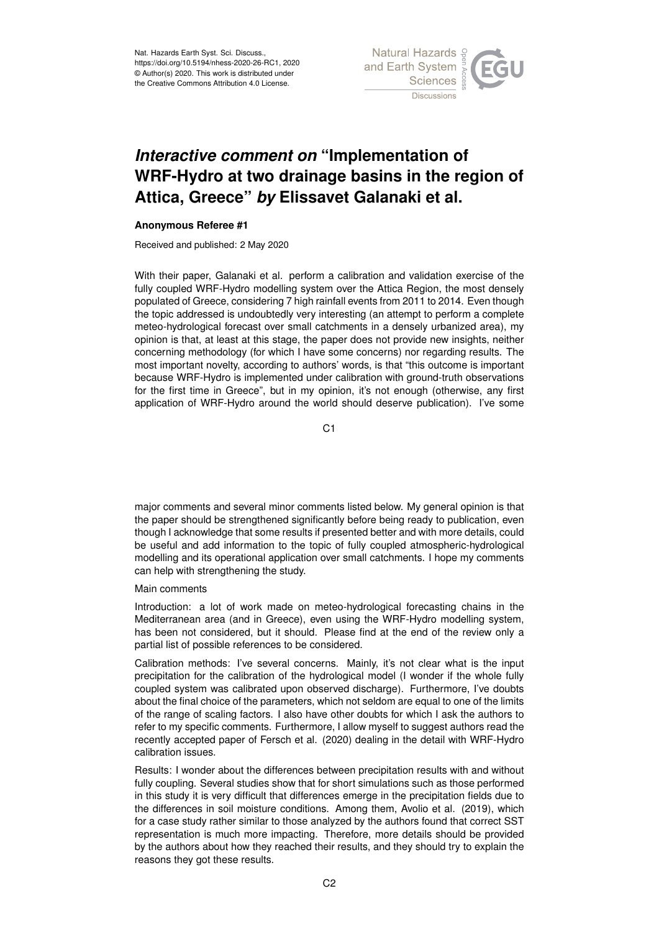Nat. Hazards Earth Syst. Sci. Discuss., https://doi.org/10.5194/nhess-2020-26-RC1, 2020 © Author(s) 2020. This work is distributed under the Creative Commons Attribution 4.0 License.



## *Interactive comment on* **"Implementation of WRF-Hydro at two drainage basins in the region of Attica, Greece"** *by* **Elissavet Galanaki et al.**

## **Anonymous Referee #1**

Received and published: 2 May 2020

With their paper, Galanaki et al. perform a calibration and validation exercise of the fully coupled WRF-Hydro modelling system over the Attica Region, the most densely populated of Greece, considering 7 high rainfall events from 2011 to 2014. Even though the topic addressed is undoubtedly very interesting (an attempt to perform a complete meteo-hydrological forecast over small catchments in a densely urbanized area), my opinion is that, at least at this stage, the paper does not provide new insights, neither concerning methodology (for which I have some concerns) nor regarding results. The most important novelty, according to authors' words, is that "this outcome is important because WRF-Hydro is implemented under calibration with ground-truth observations for the first time in Greece", but in my opinion, it's not enough (otherwise, any first application of WRF-Hydro around the world should deserve publication). I've some

C1

major comments and several minor comments listed below. My general opinion is that the paper should be strengthened significantly before being ready to publication, even though I acknowledge that some results if presented better and with more details, could be useful and add information to the topic of fully coupled atmospheric-hydrological modelling and its operational application over small catchments. I hope my comments can help with strengthening the study.

## Main comments

Introduction: a lot of work made on meteo-hydrological forecasting chains in the Mediterranean area (and in Greece), even using the WRF-Hydro modelling system, has been not considered, but it should. Please find at the end of the review only a partial list of possible references to be considered.

Calibration methods: I've several concerns. Mainly, it's not clear what is the input precipitation for the calibration of the hydrological model (I wonder if the whole fully coupled system was calibrated upon observed discharge). Furthermore, I've doubts about the final choice of the parameters, which not seldom are equal to one of the limits of the range of scaling factors. I also have other doubts for which I ask the authors to refer to my specific comments. Furthermore, I allow myself to suggest authors read the recently accepted paper of Fersch et al. (2020) dealing in the detail with WRF-Hydro calibration issues.

Results: I wonder about the differences between precipitation results with and without fully coupling. Several studies show that for short simulations such as those performed in this study it is very difficult that differences emerge in the precipitation fields due to the differences in soil moisture conditions. Among them, Avolio et al. (2019), which for a case study rather similar to those analyzed by the authors found that correct SST representation is much more impacting. Therefore, more details should be provided by the authors about how they reached their results, and they should try to explain the reasons they got these results.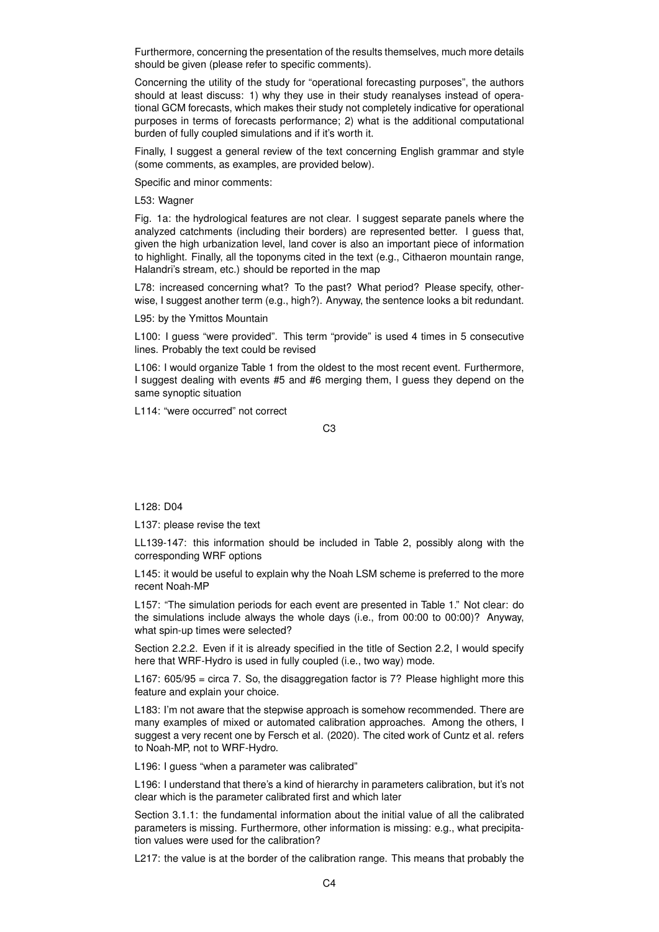Furthermore, concerning the presentation of the results themselves, much more details should be given (please refer to specific comments).

Concerning the utility of the study for "operational forecasting purposes", the authors should at least discuss: 1) why they use in their study reanalyses instead of operational GCM forecasts, which makes their study not completely indicative for operational purposes in terms of forecasts performance; 2) what is the additional computational burden of fully coupled simulations and if it's worth it.

Finally, I suggest a general review of the text concerning English grammar and style (some comments, as examples, are provided below).

Specific and minor comments:

L53: Wagner

Fig. 1a: the hydrological features are not clear. I suggest separate panels where the analyzed catchments (including their borders) are represented better. I guess that, given the high urbanization level, land cover is also an important piece of information to highlight. Finally, all the toponyms cited in the text (e.g., Cithaeron mountain range, Halandri's stream, etc.) should be reported in the map

L78: increased concerning what? To the past? What period? Please specify, otherwise, I suggest another term (e.g., high?). Anyway, the sentence looks a bit redundant.

L95: by the Ymittos Mountain

L100: I guess "were provided". This term "provide" is used 4 times in 5 consecutive lines. Probably the text could be revised

L106: I would organize Table 1 from the oldest to the most recent event. Furthermore, I suggest dealing with events #5 and #6 merging them, I guess they depend on the same synoptic situation

L114: "were occurred" not correct

C3

L128: D04

L137: please revise the text

LL139-147: this information should be included in Table 2, possibly along with the corresponding WRF options

L145: it would be useful to explain why the Noah LSM scheme is preferred to the more recent Noah-MP

L157: "The simulation periods for each event are presented in Table 1." Not clear: do the simulations include always the whole days (i.e., from 00:00 to 00:00)? Anyway, what spin-up times were selected?

Section 2.2.2. Even if it is already specified in the title of Section 2.2, I would specify here that WRF-Hydro is used in fully coupled (i.e., two way) mode.

L167: 605/95 = circa 7. So, the disaggregation factor is 7? Please highlight more this feature and explain your choice.

L183: I'm not aware that the stepwise approach is somehow recommended. There are many examples of mixed or automated calibration approaches. Among the others, I suggest a very recent one by Fersch et al. (2020). The cited work of Cuntz et al. refers to Noah-MP, not to WRF-Hydro.

L196: I guess "when a parameter was calibrated"

L196: I understand that there's a kind of hierarchy in parameters calibration, but it's not clear which is the parameter calibrated first and which later

Section 3.1.1: the fundamental information about the initial value of all the calibrated parameters is missing. Furthermore, other information is missing: e.g., what precipitation values were used for the calibration?

L217: the value is at the border of the calibration range. This means that probably the